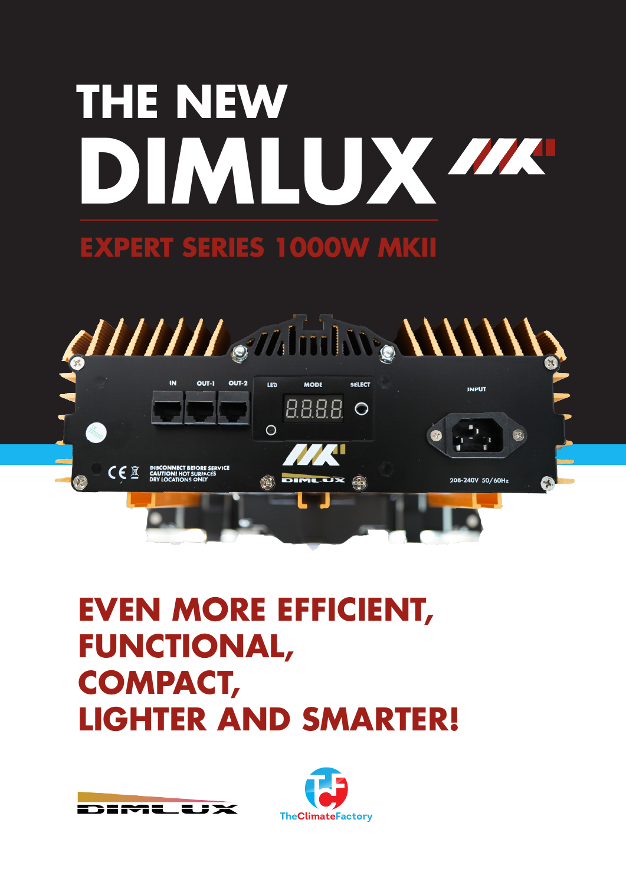# **DIMLUX THE NEW**

## **EXPERT SERIES 1000W MKII**



# **EVEN MORE EFFICIENT, FUNCTIONAL, COMPACT, LIGHTER AND SMARTER!**

**EMELEJX** 

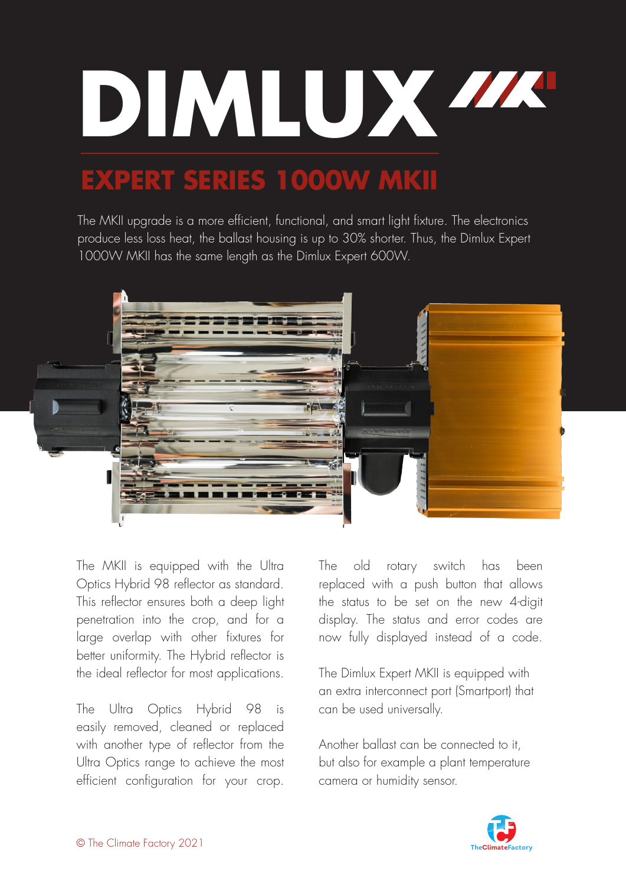

## **EXPERT SERIES 1000W MKII**

The MKII upgrade is a more efficient, functional, and smart light fixture. The electronics produce less loss heat, the ballast housing is up to 30% shorter. Thus, the Dimlux Expert 1000W MKII has the same length as the Dimlux Expert 600W.



The MKII is equipped with the Ultra Optics Hybrid 98 reflector as standard. This reflector ensures both a deep light penetration into the crop, and for a large overlap with other fixtures for better uniformity. The Hybrid reflector is the ideal reflector for most applications.

The Ultra Optics Hybrid 98 is easily removed, cleaned or replaced with another type of reflector from the Ultra Optics range to achieve the most efficient configuration for your crop.

The old rotary switch has been replaced with a push button that allows the status to be set on the new 4-digit display. The status and error codes are now fully displayed instead of a code.

The Dimlux Expert MKII is equipped with an extra interconnect port (Smartport) that can be used universally.

Another ballast can be connected to it, but also for example a plant temperature camera or humidity sensor.

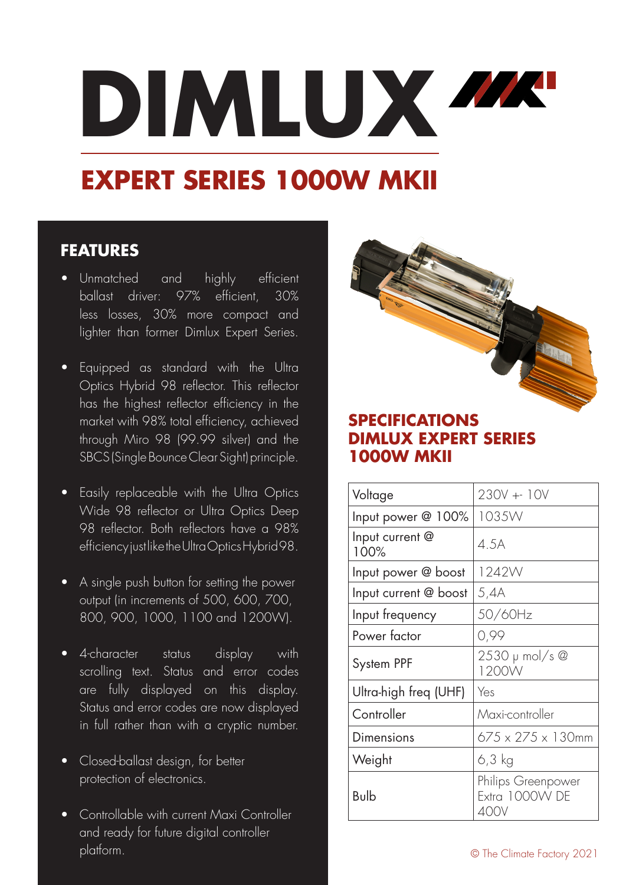# **DIMLUX**

# **EXPERT SERIES 1000W MKII**

## **FEATURES**

- Unmatched and highly efficient ballast driver: 97% efficient, 30% less losses, 30% more compact and lighter than former Dimlux Expert Series.
- Equipped as standard with the Ultra Optics Hybrid 98 reflector. This reflector has the highest reflector efficiency in the market with 98% total efficiency, achieved through Miro 98 (99.99 silver) and the SBCS (Single Bounce Clear Sight) principle.
- Easily replaceable with the Ultra Optics Wide 98 reflector or Ultra Optics Deep 98 reflector. Both reflectors have a 98% efficiency just like the Ultra Optics Hybrid 98.
- A single push button for setting the power output (in increments of 500, 600, 700, 800, 900, 1000, 1100 and 1200W).
- 4-character status display with scrolling text. Status and error codes are fully displayed on this display. Status and error codes are now displayed in full rather than with a cryptic number.
- Closed-ballast design, for better protection of electronics.
- Controllable with current Maxi Controller and ready for future digital controller platform.

## **SPECIFICATIONS DIMLUX EXPERT SERIES 1000W MKII**

| Voltage                 | $230V + 10V$                         |
|-------------------------|--------------------------------------|
| Input power @ 100%      | 1035W                                |
| Input current @<br>100% | 4.5A                                 |
| Input power @ boost     | 1242W                                |
| Input current @ boost   | 5,4A                                 |
| Input frequency         | 50/60Hz                              |
| Power factor            | 0,99                                 |
| System PPF              | 2530 µ mol/s @<br>1200W              |
| Ultra-high freq (UHF)   | Yes                                  |
| Controller              | Maxi-controller                      |
| Dimensions              | $675 \times 275 \times 130$ mm       |
| Weight                  | 6,3 kg                               |
| Bulb                    | Philips Greenpower<br>Extra 1000W DE |